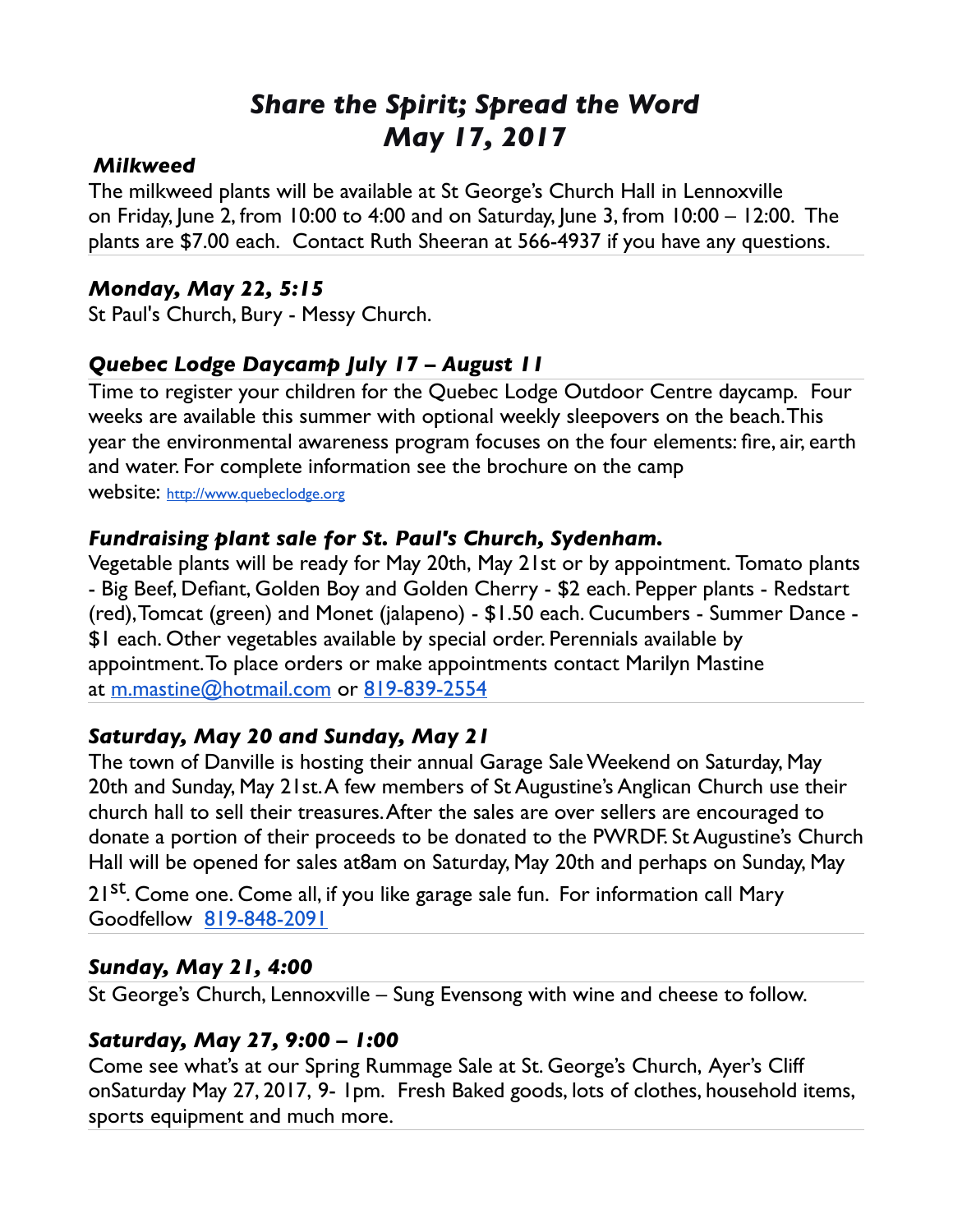# *Share the Spirit; Spread the Word May 17, 2017*

#### *Milkweed*

The milkweed plants will be available at St George's Church Hall in Lennoxville on Friday, June 2, from 10:00 to 4:00 and on Saturday, June 3, from 10:00 – 12:00. The plants are \$7.00 each. Contact Ruth Sheeran at 566-4937 if you have any questions.

#### *Monday, May 22, 5:15*

St Paul's Church, Bury - Messy Church.

### *Quebec Lodge Daycamp July 17 – August 11*

Time to register your children for the Quebec Lodge Outdoor Centre daycamp. Four weeks are available this summer with optional weekly sleepovers on the beach. This year the environmental awareness program focuses on the four elements: fire, air, earth and water. For complete information see the brochure on the camp

website: [http://www.quebeclodge.org](http://www.quebeclodge.org/)

#### *Fundraising plant sale for St. Paul's Church, Sydenham.*

Vegetable plants will be ready for May 20th, May 21st or by appointment. Tomato plants - Big Beef, Defiant, Golden Boy and Golden Cherry - \$2 each. Pepper plants - Redstart (red), Tomcat (green) and Monet (jalapeno) - \$1.50 each. Cucumbers - Summer Dance - \$1 each. Other vegetables available by special order. Perennials available by appointment. To place orders or make appointments contact Marilyn Mastine at [m.mastine@hotmail.com](mailto:m.mastine@hotmail.com) or [819-839-2554](tel:(819)%20839-2554)

#### *Saturday, May 20 and Sunday, May 21*

The town of Danville is hosting their annual Garage Sale Weekend on Saturday, May 20th and Sunday, May 21st. A few members of St Augustine's Anglican Church use their church hall to sell their treasures. After the sales are over sellers are encouraged to donate a portion of their proceeds to be donated to the PWRDF. St Augustine's Church Hall will be opened for sales at8am on Saturday, May 20th and perhaps on Sunday, May

21<sup>st</sup>. Come one. Come all, if you like garage sale fun. For information call Mary Goodfellow [819-848-2091](tel:(819)%20848-2091)

#### *Sunday, May 21, 4:00*

St George's Church, Lennoxville – Sung Evensong with wine and cheese to follow.

#### *Saturday, May 27, 9:00 – 1:00*

Come see what's at our Spring Rummage Sale at St. George's Church, Ayer's Cliff onSaturday May 27, 2017, 9- 1pm. Fresh Baked goods, lots of clothes, household items, sports equipment and much more.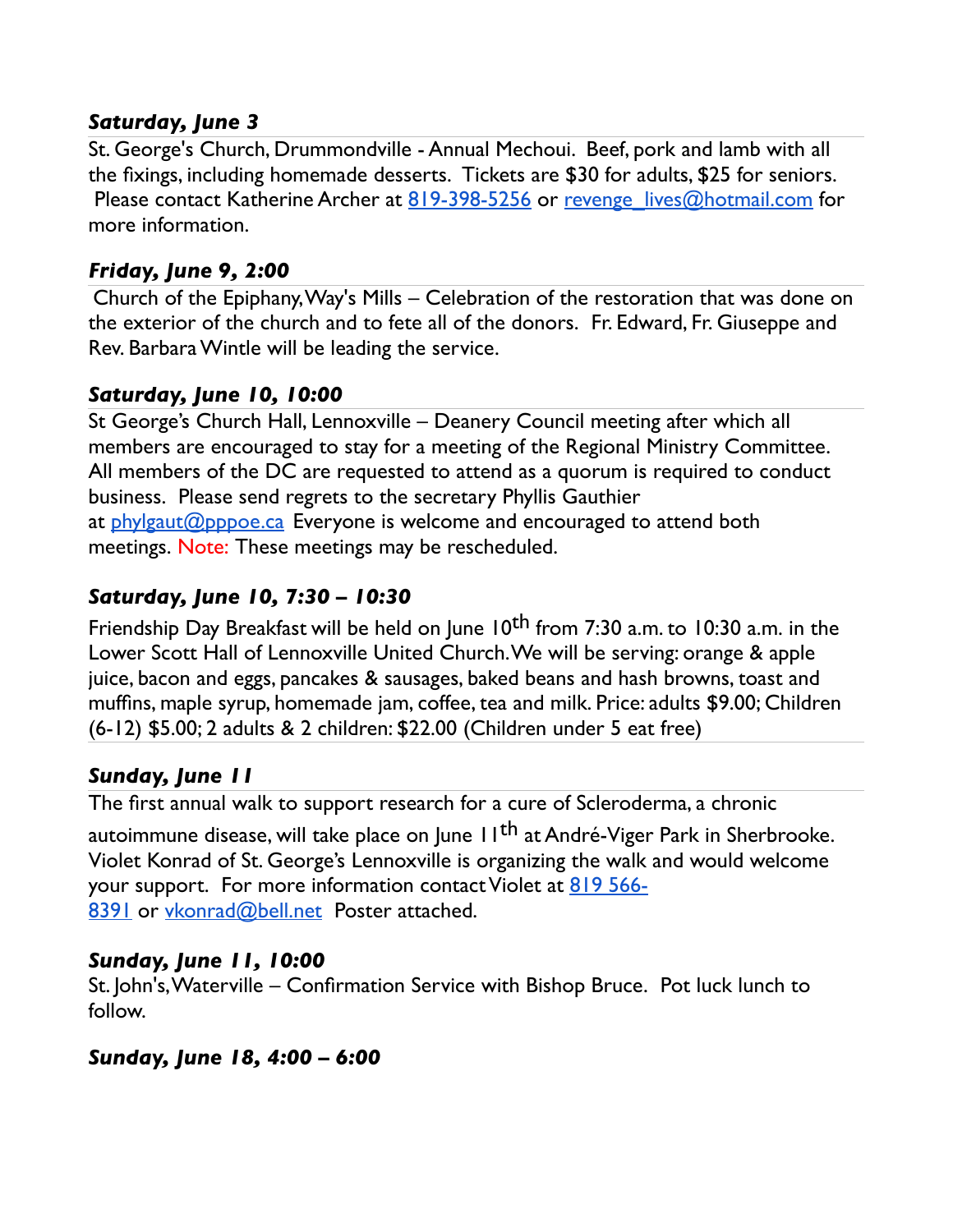#### *Saturday, June 3*

St. George's Church, Drummondville - Annual Mechoui. Beef, pork and lamb with all the fixings, including homemade desserts. Tickets are \$30 for adults, \$25 for seniors. Please contact Katherine Archer at  $819-398-5256$  or revenge lives@hotmail.com for more information.

#### *Friday, June 9, 2:00*

Church of the Epiphany, Way's Mills – Celebration of the restoration that was done on the exterior of the church and to fete all of the donors. Fr. Edward, Fr. Giuseppe and Rev. Barbara Wintle will be leading the service.

#### *Saturday, June 10, 10:00*

St George's Church Hall, Lennoxville – Deanery Council meeting after which all members are encouraged to stay for a meeting of the Regional Ministry Committee. All members of the DC are requested to attend as a quorum is required to conduct business. Please send regrets to the secretary Phyllis Gauthier at  $phylgaut@pppoe.ca$  Everyone is welcome and encouraged to attend both meetings. Note: These meetings may be rescheduled.

## *Saturday, June 10, 7:30 – 10:30*

Friendship Day Breakfast will be held on June 10<sup>th</sup> from 7:30 a.m. to 10:30 a.m. in the Lower Scott Hall of Lennoxville United Church. We will be serving: orange & apple juice, bacon and eggs, pancakes & sausages, baked beans and hash browns, toast and muffins, maple syrup, homemade jam, coffee, tea and milk. Price: adults \$9.00; Children (6-12) \$5.00; 2 adults & 2 children: \$22.00 (Children under 5 eat free)

## *Sunday, June 11*

The first annual walk to support research for a cure of Scleroderma, a chronic autoimmune disease, will take place on June 11<sup>th</sup> at André-Viger Park in Sherbrooke. Violet Konrad of St. George's Lennoxville is organizing the walk and would welcome your support. For more information contact Violet at [819 566-](tel:(819)%20566-8391) [8391](tel:(819)%20566-8391) or [vkonrad@bell.net](mailto:vkonrad@bell.net) Poster attached.

## *Sunday, June 11, 10:00*

St. John's, Waterville – Confirmation Service with Bishop Bruce. Pot luck lunch to follow.

#### *Sunday, June 18, 4:00 – 6:00*